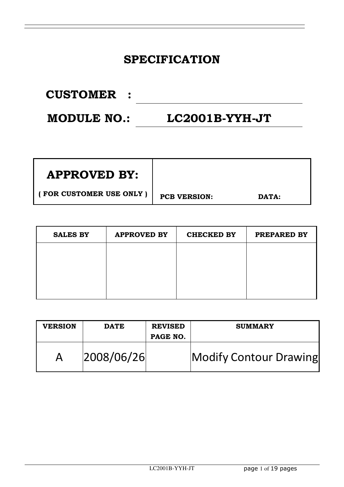#### **SPECIFICATION**

| <b>CUSTOMER :</b>  |                  |
|--------------------|------------------|
| <b>MODULE NO.:</b> | $LC2001B-YYH-JT$ |

| <b>APPROVED BY:</b>     |                     |       |  |
|-------------------------|---------------------|-------|--|
| (FOR CUSTOMER USE ONLY) | <b>PCB VERSION:</b> | DATA: |  |

| <b>SALES BY</b> | <b>APPROVED BY</b> | <b>CHECKED BY</b> | PREPARED BY |
|-----------------|--------------------|-------------------|-------------|
|                 |                    |                   |             |
|                 |                    |                   |             |
|                 |                    |                   |             |
|                 |                    |                   |             |

| <b>VERSION</b> | <b>DATE</b> | <b>REVISED</b><br>PAGE NO. | <b>SUMMARY</b>         |
|----------------|-------------|----------------------------|------------------------|
|                | 2008/06/26  |                            | Modify Contour Drawing |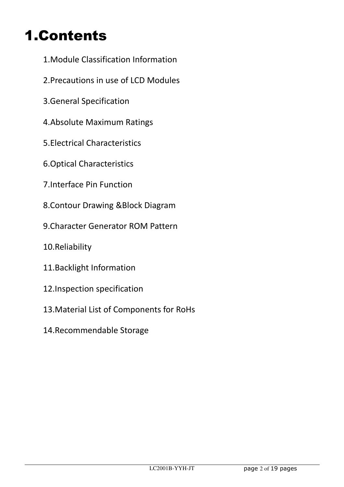### 1.Contents

- 1.Module Classification Information
- 2.Precautions in use of LCD Modules
- 3.General Specification
- 4.Absolute Maximum Ratings
- 5.Electrical Characteristics
- 6.Optical Characteristics
- 7.Interface Pin Function
- 8.Contour Drawing &Block Diagram
- 9.Character Generator ROM Pattern
- 10.Reliability
- 11.Backlight Information
- 12.Inspection specification
- 13.Material List of Components for RoHs
- 14.Recommendable Storage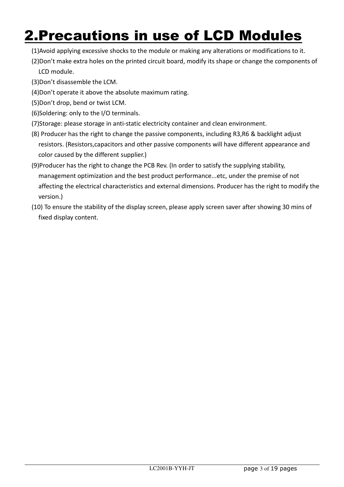#### 2.Precautions in use of LCD Modules

- (1)Avoid applying excessive shocks to the module or making any alterations or modifications to it.
- (2)Don't make extra holes on the printed circuit board, modify its shape or change the components of LCD module.
- (3)Don't disassemble the LCM.
- (4)Don't operate it above the absolute maximum rating.
- (5)Don't drop, bend or twist LCM.
- (6)Soldering: only to the I/O terminals.
- (7)Storage: please storage in anti-static electricity container and clean environment.
- (8) Producer has the right to change the passive components, including R3,R6 & backlight adjust resistors. (Resistors,capacitors and other passive components will have different appearance and color caused by the different supplier.)
- (9)Producer has the right to change the PCB Rev. (In order to satisfy the supplying stability, management optimization and the best product performance...etc, under the premise of not affecting the electrical characteristics and external dimensions. Producer has the right to modify the version.)
- (10) To ensure the stability of the display screen, please apply screen saver after showing 30 mins of fixed display content.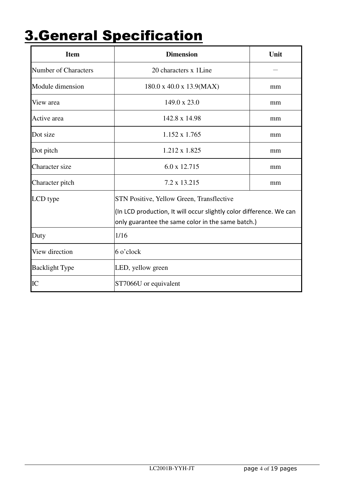## 3.General Specification

| <b>Item</b>                 | <b>Dimension</b>                                                                                                                                                      | Unit |
|-----------------------------|-----------------------------------------------------------------------------------------------------------------------------------------------------------------------|------|
| <b>Number of Characters</b> | 20 characters x 1Line                                                                                                                                                 |      |
| Module dimension            | 180.0 x 40.0 x 13.9 (MAX)                                                                                                                                             | mm   |
| View area                   | 149.0 x 23.0                                                                                                                                                          | mm   |
| Active area                 | 142.8 x 14.98                                                                                                                                                         | mm   |
| Dot size                    | $1.152 \times 1.765$                                                                                                                                                  | mm   |
| Dot pitch                   | 1.212 x 1.825                                                                                                                                                         | mm   |
| Character size              | 6.0 x 12.715                                                                                                                                                          | mm   |
| Character pitch             | 7.2 x 13.215                                                                                                                                                          | mm   |
| LCD type                    | STN Positive, Yellow Green, Transflective<br>(In LCD production, It will occur slightly color difference. We can<br>only guarantee the same color in the same batch.) |      |
| Duty                        | 1/16                                                                                                                                                                  |      |
| View direction              | 6 o'clock                                                                                                                                                             |      |
| <b>Backlight Type</b>       | LED, yellow green                                                                                                                                                     |      |
| IC                          | ST7066U or equivalent                                                                                                                                                 |      |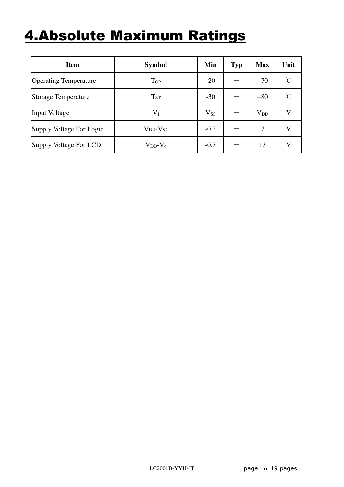#### 4.Absolute Maximum Ratings

| <b>Item</b>                  | <b>Symbol</b>       | Min      | <b>Typ</b> | <b>Max</b>   | Unit                 |
|------------------------------|---------------------|----------|------------|--------------|----------------------|
| <b>Operating Temperature</b> | Top                 | $-20$    |            | $+70$        | $\mathrm{C}^{\circ}$ |
| <b>Storage Temperature</b>   | $T_{ST}$            | $-30$    |            | $+80$        | $\mathrm{C}^{\circ}$ |
| <b>Input Voltage</b>         | $V_I$               | $V_{SS}$ |            | $\rm V_{DD}$ | V                    |
| Supply Voltage For Logic     | $V_{DD}$ - $V_{SS}$ | $-0.3$   |            | 7            | V                    |
| Supply Voltage For LCD       | $V_{DD}$ - $V_{o}$  | $-0.3$   |            | 13           | V                    |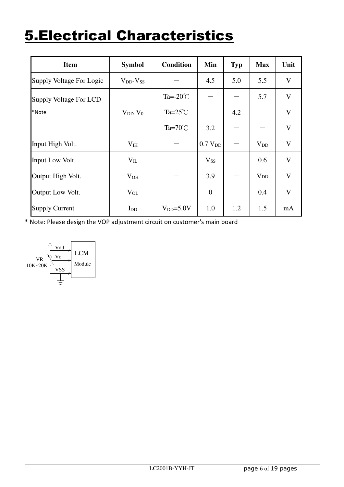#### 5.Electrical Characteristics

| <b>Item</b>              | <b>Symbol</b>       | <b>Condition</b>    | Min                 | <b>Typ</b> | <b>Max</b>             | Unit         |
|--------------------------|---------------------|---------------------|---------------------|------------|------------------------|--------------|
| Supply Voltage For Logic | $V_{DD}$ - $V_{SS}$ |                     | 4.5                 | 5.0        | 5.5                    | V            |
| Supply Voltage For LCD   |                     | Ta= $-20^{\circ}$ C |                     |            | 5.7                    | V            |
| *Note                    | $V_{DD}$ - $V_0$    | Ta= $25^{\circ}$ C  |                     | 4.2        |                        | $\mathbf{V}$ |
|                          |                     | Ta= $70^{\circ}$ C  | 3.2                 |            |                        | V            |
| Input High Volt.         | $V_{IH}$            |                     | 0.7 V <sub>DD</sub> |            | $V_{DD}$               | V            |
| Input Low Volt.          | $V_{IL}$            |                     | $V_{SS}$            |            | 0.6                    | V            |
| Output High Volt.        | $V_{OH}$            |                     | 3.9                 |            | <b>V</b> <sub>DD</sub> | V            |
| Output Low Volt.         | $V_{OL}$            |                     | $\overline{0}$      |            | 0.4                    | V            |
| <b>Supply Current</b>    | $I_{DD}$            | $V_{DD} = 5.0V$     | 1.0                 | 1.2        | 1.5                    | mA           |

\* Note: Please design the VOP adjustment circuit on customer's main board

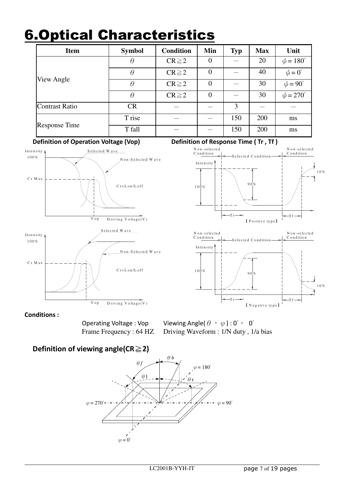#### 6.Optical Characteristics

| <b>Item</b>           | <b>Symbol</b> | <b>Condition</b> | Min            | <b>Typ</b> | <b>Max</b> | Unit                 |
|-----------------------|---------------|------------------|----------------|------------|------------|----------------------|
|                       | $\theta$      | $CR \geq 2$      | $\theta$       |            | 20         | $\phi = 180^\circ$   |
|                       | $\theta$      | $CR \geq 2$      | $\theta$       |            | 40         | $\phi = 0^{\circ}$   |
| View Angle            | $\theta$      | $CR \geq 2$      | $\overline{0}$ |            | 30         | $\phi = 90^\circ$    |
|                       | $\theta$      | $CR \geq 2$      | $\theta$       |            | 30         | $\phi = 270^{\circ}$ |
| <b>Contrast Ratio</b> | CR            |                  |                | 3          |            |                      |
|                       | T rise        |                  |                | 150        | 200        | ms                   |
| <b>Response Time</b>  | T fall        |                  |                | 150        | 200        | ms                   |

**Definition of Operation Voltage (Vop) Definition of Response Time (Tr, Tf)** 









#### **Conditions :**

Operating Voltage : Vop Viewing Angle( $\theta$ ,  $\varphi$ ) : 0°, 0° Frame Frequency : 64 HZ Driving Waveform : 1/N duty, 1/a bias

#### **Definition of viewing angle(CR**≧**2)**

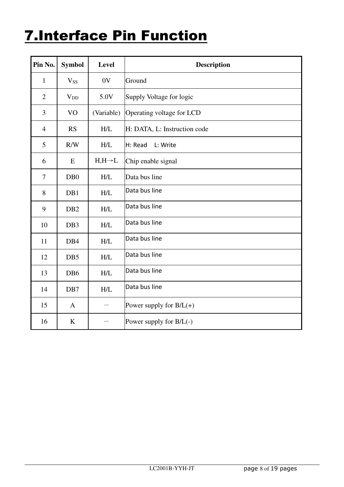#### 7.Interface Pin Function

| Pin No.        | <b>Symbol</b>    | <b>Level</b>       | <b>Description</b>           |
|----------------|------------------|--------------------|------------------------------|
| $\mathbf{1}$   | <b>Vss</b>       | 0V                 | Ground                       |
| $\overline{2}$ | $V_{DD}$         | 5.0V               | Supply Voltage for logic     |
| 3              | V <sub>O</sub>   | (Variable)         | Operating voltage for LCD    |
| $\overline{4}$ | <b>RS</b>        | H/L                | H: DATA, L: Instruction code |
| 5              | R/W              | H/L                | L: Write<br>H: Read          |
| 6              | E                | $H,H\rightarrow L$ | Chip enable signal           |
| $\tau$         | D <sub>B</sub> 0 | H/L                | Data bus line                |
| 8              | DB1              | H/L                | Data bus line                |
| 9              | DB <sub>2</sub>  | H/L                | Data bus line                |
| 10             | DB <sub>3</sub>  | H/L                | Data bus line                |
| 11             | DB4              | H/L                | Data bus line                |
| 12             | DB5              | H/L                | Data bus line                |
| 13             | DB <sub>6</sub>  | H/L                | Data bus line                |
| 14             | DB7              | H/L                | Data bus line                |
| 15             | $\mathbf{A}$     |                    | Power supply for $B/L(+)$    |
| 16             | $\bf K$          |                    | Power supply for $B/L(-)$    |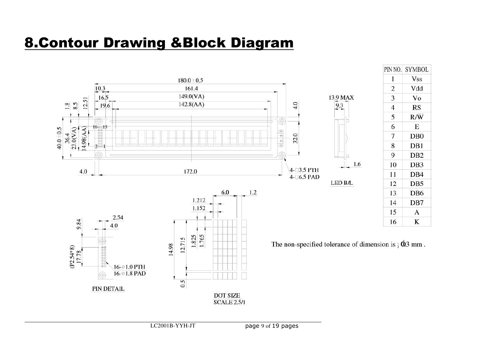#### 8.Contour Drawing &Block Diagram

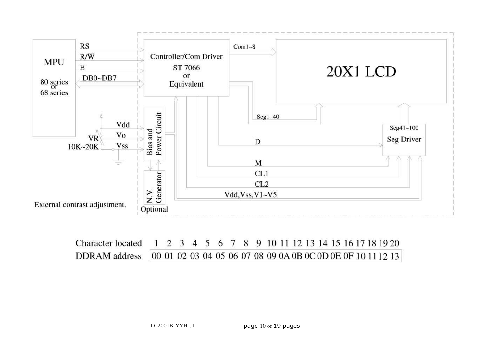

| Character located 1 2 3 4 5 6 7 8 9 10 11 12 13 14 15 16 17 18 19 20      |  |  |  |  |  |  |  |  |  |  |
|---------------------------------------------------------------------------|--|--|--|--|--|--|--|--|--|--|
| DDRAM address 00 01 02 03 04 05 06 07 08 09 0A 0B 0C 0D 0E 0F 10 11 12 13 |  |  |  |  |  |  |  |  |  |  |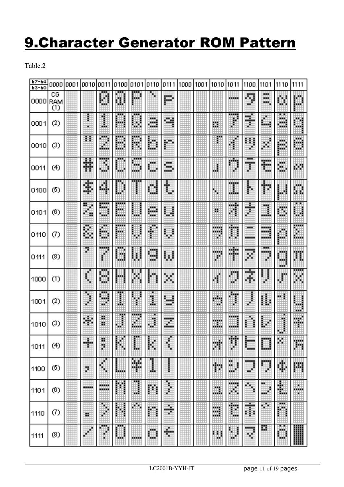#### 9.Character Generator ROM Pattern

Table.2

| 67-64<br>$P3 - P0$ | 0000                          | 0001 | 0010   | 0011                | 0100    | 0101                    | 0110                  | 0111    | 1000 | 1001 | 1010        | 1011                      | 1100                   | 1101             | 1110             | 1111     |
|--------------------|-------------------------------|------|--------|---------------------|---------|-------------------------|-----------------------|---------|------|------|-------------|---------------------------|------------------------|------------------|------------------|----------|
| 0000               | CG<br>RAM<br>$\left(1\right)$ |      |        | H                   | U       | m                       |                       | m       |      |      |             | --                        | Ø                      | XX.<br>w.<br>жx, | 臘                | Ħ        |
| 0001               | (2)                           |      | ŀ<br>۰ | I                   | Ш       | H                       | ä                     | 鯯       |      |      | Щ           | ł                         | H                      | ▦                | ╍<br>ä.          | E.       |
| 0010               | (3)                           |      | £.     | m<br>颿              | ₩       | H                       | ▦                     | W.      |      |      |             |                           | н<br>î                 | w                | P                | XXX<br>D |
| 0011               | (4)                           |      | 蠿      | ₹<br>щá             | ш       | mana i<br>m             | ш<br>w.               | Ħ       |      |      | Ш           | 睡<br>ĝ.                   | ш<br>U.                | Ħ                | W                | ш        |
| 0100               | (5)                           |      | ă,     | W.                  | ₽       |                         | Ľ                     | H       |      |      | ۰           | .<br>ш                    | ŀ                      | ₩                | Ħ                | I.       |
| 0101               | (6)                           |      | ₩      | m,<br><b>The Co</b> | 罵<br>ш. | --                      | m<br>w.               | Ш       |      |      | 謴           | Ħ                         | ш.                     | ∎                | B                | ▦        |
| 0110               | Ø                             |      | ш<br>H | 璑<br>m,             | <br>UH. |                         | ľ                     | ₩       |      |      | m,<br>ш     | Ħ                         | mana a<br>.            | m<br>            | H                | <br>H    |
| 0111               | (8)                           |      |        | ľ                   | A,      | н                       | <b>HALL</b><br>蝴<br>ш | H       |      |      | mang<br>胐   | <b>MAN</b><br>HG 6        | <br>ш                  | ⊞<br><br>ш       | m<br>賳<br>and in | H        |
| 1000               | (1)                           |      | ţ.     | W                   | m.      |                         |                       | Ħ       |      |      | Ш           | U<br>ш                    | m<br>鲫                 | 畢                | 4                | <br>m    |
| 1001               | (2)                           |      | и      | m<br>æ              | I       | ı                       | ı                     | щ<br>w. |      |      | an ing<br>鰦 | <b>The Co</b>             |                        | H                | m                | шđ<br>m  |
| 1010               | (3)                           |      | 灦      | 颞<br>罿              | J       | Ē<br>P.<br><b>Banda</b> | j                     | Ħ       |      |      | ,,,,,<br>W. | king.<br>man a            |                        | į<br>ф           | j<br>┅           | Ŧ        |
| 1011               | (4)                           |      | m.     | õ                   | M       | <b>ALL</b><br>₿         | H.                    | H       |      |      | m           | $\cdots$<br>駎<br>æ        | <b>BANK</b><br>and and | ш                | 뗖                | Ħ        |
| 1100               | (5)                           |      | ă      | H                   | ▦       | 飋<br>э.                 | l                     | I.      |      |      | Ħ           | ж<br>В<br>ж<br>щĐ         | aing.<br>W.            | ₽                | ă.               | Ħ        |
| 1101               | (6)                           |      | 30000  | <br>an an a         | m       | U                       | 鬬                     | l       |      |      | m.          | <b>Here</b><br>ä,         | 每                      | ж<br>▦           | ß                | 臘<br>×   |
| 1110               | Ø                             |      | 鱯      | ¢                   | ×.      | œ                       |                       | ۰       |      |      | Щ           | Ħ                         | 躝                      | ٠<br>ш           | <br>H            |          |
| 1111               | (8)                           |      |        | w<br>×              | ▦       |                         | ٩.<br>                | ₩<br>×  |      |      | m           | $\mathfrak{h}$<br>ij<br>× | Щŋ<br>ш                | 膬                | 賱                | W        |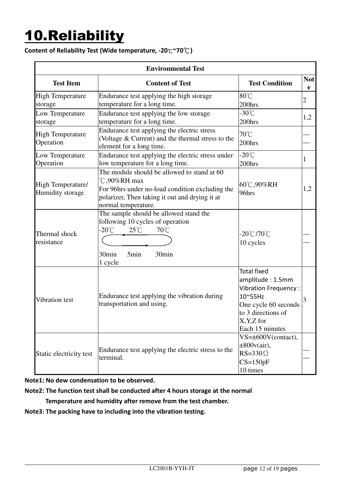# 10.Reliability

#### **Content of Reliability Test (Wide temperature, -20**℃**~70**℃**)**

|                                              | <b>Environmental Test</b>                                                                                                                                                               |                                                                                                                                                             |                 |  |  |  |  |  |  |  |  |  |
|----------------------------------------------|-----------------------------------------------------------------------------------------------------------------------------------------------------------------------------------------|-------------------------------------------------------------------------------------------------------------------------------------------------------------|-----------------|--|--|--|--|--|--|--|--|--|
| <b>Test Item</b>                             | <b>Content of Test</b>                                                                                                                                                                  | <b>Test Condition</b>                                                                                                                                       | <b>Not</b><br>e |  |  |  |  |  |  |  |  |  |
| <b>High Temperature</b><br>storage           | Endurance test applying the high storage<br>temperature for a long time.                                                                                                                | $80^{\circ}$ C<br>200hrs                                                                                                                                    | 2               |  |  |  |  |  |  |  |  |  |
| Low Temperature<br>storage                   | Endurance test applying the low storage<br>temperature for a long time.                                                                                                                 | -30 $^{\circ}$ C<br>200hrs                                                                                                                                  | 1,2             |  |  |  |  |  |  |  |  |  |
| <b>High Temperature</b><br>Operation         | Endurance test applying the electric stress<br>(Voltage & Current) and the thermal stress to the<br>element for a long time.                                                            | $70^{\circ}$ C<br>200hrs                                                                                                                                    |                 |  |  |  |  |  |  |  |  |  |
| Low Temperature<br>Operation                 | Endurance test applying the electric stress under<br>low temperature for a long time.                                                                                                   | $-20^{\circ}$ C<br>200hrs                                                                                                                                   | 1               |  |  |  |  |  |  |  |  |  |
| <b>High Temperature/</b><br>Humidity storage | The module should be allowed to stand at 60<br>°C,90%RH max<br>For 96hrs under no-load condition excluding the<br>polarizer, Then taking it out and drying it at<br>normal temperature. | 60°C,90%RH<br>96hrs                                                                                                                                         | 1,2             |  |  |  |  |  |  |  |  |  |
| Thermal shock<br>resistance                  | The sample should be allowed stand the<br>following 10 cycles of operation<br>-20°C<br>$25^{\circ}$ C<br>$70^{\circ}$ C<br>30min<br>5 <sub>min</sub><br>30 <sub>min</sub><br>1 cycle    | $-20^{\circ}$ C/70 $^{\circ}$ C<br>10 cycles                                                                                                                |                 |  |  |  |  |  |  |  |  |  |
| Vibration test                               | Endurance test applying the vibration during<br>transportation and using.                                                                                                               | <b>Total fixed</b><br>amplitude: 1.5mm<br>Vibration Frequency:<br>10~55Hz<br>One cycle 60 seconds<br>to 3 directions of<br>$X, Y, Z$ for<br>Each 15 minutes |                 |  |  |  |  |  |  |  |  |  |
| Static electricity test                      | Endurance test applying the electric stress to the<br>terminal.                                                                                                                         | $VS=\pm 600V$ (contact),<br>$\pm 800v(air)$ ,<br>$RS = 330 \Omega$<br>$CS=150pF$<br>10 times                                                                |                 |  |  |  |  |  |  |  |  |  |

**Note1: No dew condensation to be observed.** 

**Note2: The function test shall be conducted after 4 hours storage at the normal** 

 **Temperature and humidity after remove from the test chamber.** 

**Note3: The packing have to including into the vibration testing.**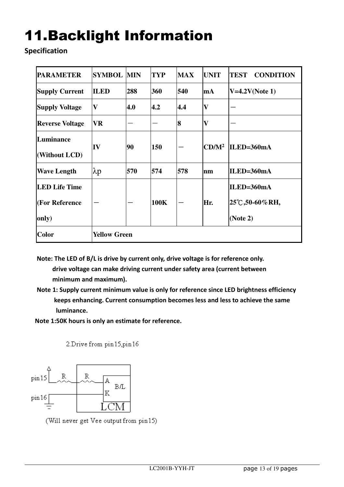# 11.Backlight Information

**Specification** 

| <b>PARAMETER</b>                                | <b>SYMBOL MIN</b>   |     | <b>TYP</b> | <b>MAX</b> | <b>UNIT</b>             | <b>TEST</b><br><b>CONDITION</b>         |
|-------------------------------------------------|---------------------|-----|------------|------------|-------------------------|-----------------------------------------|
| <b>Supply Current</b>                           | <b>ILED</b>         | 288 | 360        | 540        | mA                      | $V=4.2V(Note 1)$                        |
| <b>Supply Voltage</b>                           | $\mathbf{V}$        | 4.0 | 4.2        | 4.4        | $\overline{\mathbf{V}}$ |                                         |
| <b>Reverse Voltage</b>                          | <b>VR</b>           |     |            | 8          | $\mathbf{V}$            |                                         |
| Luminance<br>(Without LCD)                      | ${\bf IV}$          | 90  | 150        |            | CD/M <sup>2</sup>       | ILED=360mA                              |
| <b>Wave Length</b>                              | $\lambda p$         | 570 | 574        | 578        | Inm                     | $ILED=360mA$                            |
| <b>LED Life Time</b><br>(For Reference<br>only) |                     |     | 100K       |            | Hr.                     | ILED=360mA<br>25℃,50-60%RH,<br>(Note 2) |
| <b>Color</b>                                    | <b>Yellow Green</b> |     |            |            |                         |                                         |

**Note: The LED of B/L is drive by current only, drive voltage is for reference only. drive voltage can make driving current under safety area (current between minimum and maximum).** 

- **Note 1: Supply current minimum value is only for reference since LED brightness efficiency keeps enhancing. Current consumption becomes less and less to achieve the same luminance.**
- **Note 1:50K hours is only an estimate for reference.**

2. Drive from pin15, pin16



(Will never get Vee output from pin15)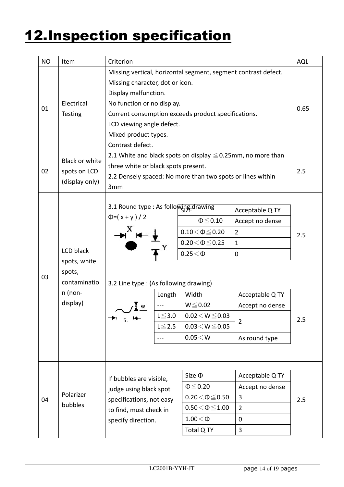### 12.Inspection specification

| <b>NO</b> | Item                                                                         | Criterion                                                                                                                                                                                                                                                                                                                                                                                                                                                                     |                                                   |                                                                                                                                                                                      |                                                                                                                                                              |            |
|-----------|------------------------------------------------------------------------------|-------------------------------------------------------------------------------------------------------------------------------------------------------------------------------------------------------------------------------------------------------------------------------------------------------------------------------------------------------------------------------------------------------------------------------------------------------------------------------|---------------------------------------------------|--------------------------------------------------------------------------------------------------------------------------------------------------------------------------------------|--------------------------------------------------------------------------------------------------------------------------------------------------------------|------------|
| 01        | Electrical<br><b>Testing</b>                                                 | Missing vertical, horizontal segment, segment contrast defect.<br>Missing character, dot or icon.<br>Display malfunction.<br>No function or no display.<br>Current consumption exceeds product specifications.<br>LCD viewing angle defect.<br>Mixed product types.<br>Contrast defect.                                                                                                                                                                                       |                                                   |                                                                                                                                                                                      |                                                                                                                                                              |            |
| 02        | <b>Black or white</b><br>spots on LCD<br>(display only)                      | 2.1 White and black spots on display $\leq$ 0.25mm, no more than<br>three white or black spots present.<br>2.2 Densely spaced: No more than two spots or lines within<br>3mm                                                                                                                                                                                                                                                                                                  |                                                   |                                                                                                                                                                                      |                                                                                                                                                              |            |
| 03        | LCD black<br>spots, white<br>spots,<br>contaminatio<br>$n$ (non-<br>display) | 3.1 Round type : As following drawing<br>$\Phi = (x + y)/2$<br>$\begin{picture}(180,10) \put(0,0){\line(1,0){10}} \put(15,0){\line(1,0){10}} \put(15,0){\line(1,0){10}} \put(15,0){\line(1,0){10}} \put(15,0){\line(1,0){10}} \put(15,0){\line(1,0){10}} \put(15,0){\line(1,0){10}} \put(15,0){\line(1,0){10}} \put(15,0){\line(1,0){10}} \put(15,0){\line(1,0){10}} \put(15,0){\line(1,0){10}} \put(15,0){\line($<br>3.2 Line type : (As following drawing)<br>→<br>$-$<br>L | Length<br>$L\!\leq\!3.0$<br>$L \leq 2.5$<br>$---$ | $\Phi \leq 0.10$<br>$0.10\!<\!\Phi\!\leq\!0.20$<br>$0.20 \le \Phi \le 0.25$<br>$0.25<\Phi$<br>Width<br>$W \le 0.02$<br>$0.02\!<\!W\!\leq\!0.03$<br>$0.03 \le W \le 0.05$<br>0.05 < W | Acceptable Q TY<br>Accept no dense<br>$\overline{2}$<br>$\mathbf{1}$<br>$\mathbf 0$<br>Acceptable Q TY<br>Accept no dense<br>$\overline{2}$<br>As round type | 2.5<br>2.5 |
| 04        | Polarizer<br>bubbles                                                         | If bubbles are visible,<br>judge using black spot<br>specifications, not easy<br>to find, must check in<br>specify direction.                                                                                                                                                                                                                                                                                                                                                 |                                                   | Size $\Phi$<br>$\Phi \leq 0.20$<br>$0.20 \le \Phi \le 0.50$<br>$0.50\!<\!\Phi\!\leq\!1.00$<br>$1.00<\Phi$<br>Total Q TY                                                              | Acceptable Q TY<br>Accept no dense<br>3<br>$\overline{2}$<br>$\mathbf 0$<br>3                                                                                | 2.5        |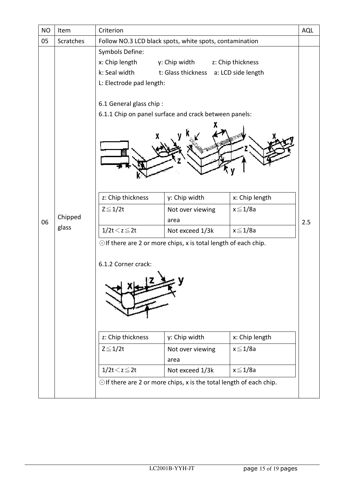| Item      | Criterion                                                                        |                                                              |                                                  | <b>AQL</b>                                                                                                                                                                                                       |  |  |  |
|-----------|----------------------------------------------------------------------------------|--------------------------------------------------------------|--------------------------------------------------|------------------------------------------------------------------------------------------------------------------------------------------------------------------------------------------------------------------|--|--|--|
| Scratches | Follow NO.3 LCD black spots, white spots, contamination                          |                                                              |                                                  |                                                                                                                                                                                                                  |  |  |  |
|           | Symbols Define:<br>x: Chip length<br>k: Seal width                               |                                                              |                                                  |                                                                                                                                                                                                                  |  |  |  |
|           | 6.1 General glass chip:<br>6.1.1 Chip on panel surface and crack between panels: |                                                              |                                                  |                                                                                                                                                                                                                  |  |  |  |
|           |                                                                                  | y: Chip width                                                | x: Chip length                                   |                                                                                                                                                                                                                  |  |  |  |
| Chipped   | $Z \leq 1/2t$                                                                    | Not over viewing<br>area                                     | $x \leq 1/8a$                                    | 2.5                                                                                                                                                                                                              |  |  |  |
| glass     | $1/2t < z \leq 2t$                                                               | Not exceed 1/3k                                              | $x \leq 1/8a$                                    |                                                                                                                                                                                                                  |  |  |  |
|           | 6.1.2 Corner crack:<br>z: Chip thickness<br>$Z \leq 1/2t$<br>$1/2t < z \leq 2t$  | y: Chip width<br>Not over viewing<br>area<br>Not exceed 1/3k | x: Chip length<br>$x \leq 1/8a$<br>$x \leq 1/8a$ |                                                                                                                                                                                                                  |  |  |  |
|           |                                                                                  | z: Chip thickness                                            | y: Chip width<br>L: Electrode pad length:        | z: Chip thickness<br>t: Glass thickness a: LCD side length<br>$\odot$ If there are 2 or more chips, x is total length of each chip.<br>$\odot$ If there are 2 or more chips, x is the total length of each chip. |  |  |  |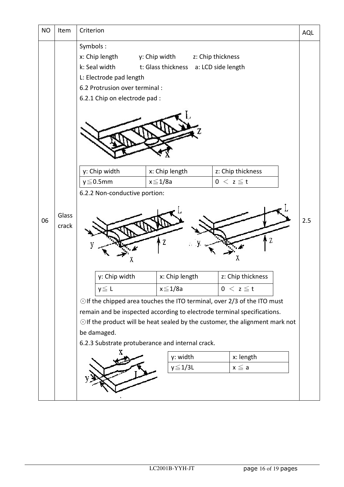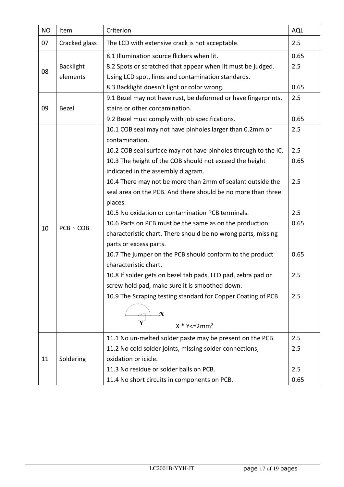| <b>NO</b> | Item             | Criterion                                                                  | <b>AQL</b> |
|-----------|------------------|----------------------------------------------------------------------------|------------|
| 07        | Cracked glass    | The LCD with extensive crack is not acceptable.                            | 2.5        |
|           |                  | 8.1 Illumination source flickers when lit.                                 | 0.65       |
|           | <b>Backlight</b> | 8.2 Spots or scratched that appear when lit must be judged.                |            |
| 08        | elements         | Using LCD spot, lines and contamination standards.                         |            |
|           |                  | 8.3 Backlight doesn't light or color wrong.                                | 0.65       |
|           |                  | 9.1 Bezel may not have rust, be deformed or have fingerprints,             | 2.5        |
| 09        | <b>Bezel</b>     | stains or other contamination.                                             |            |
|           |                  | 9.2 Bezel must comply with job specifications.                             | 0.65       |
|           |                  | 10.1 COB seal may not have pinholes larger than 0.2mm or<br>contamination. | 2.5        |
|           |                  | 10.2 COB seal surface may not have pinholes through to the IC.             | 2.5        |
|           |                  | 10.3 The height of the COB should not exceed the height                    | 0.65       |
|           | $PCB \cdot COB$  | indicated in the assembly diagram.                                         |            |
|           |                  | 10.4 There may not be more than 2mm of sealant outside the                 | 2.5        |
|           |                  | seal area on the PCB. And there should be no more than three               |            |
|           |                  | places.                                                                    |            |
|           |                  | 10.5 No oxidation or contamination PCB terminals.                          | 2.5        |
|           |                  | 10.6 Parts on PCB must be the same as on the production                    | 0.65       |
| 10        |                  | characteristic chart. There should be no wrong parts, missing              |            |
|           |                  | parts or excess parts.                                                     |            |
|           |                  | 10.7 The jumper on the PCB should conform to the product                   | 0.65       |
|           |                  | characteristic chart.                                                      |            |
|           |                  | 10.8 If solder gets on bezel tab pads, LED pad, zebra pad or               | 2.5        |
|           |                  | screw hold pad, make sure it is smoothed down.                             |            |
|           |                  | 10.9 The Scraping testing standard for Copper Coating of PCB               | 2.5        |
|           |                  |                                                                            |            |
|           |                  | $X * Y \le 2mm^2$                                                          |            |
|           |                  | 11.1 No un-melted solder paste may be present on the PCB.                  | 2.5        |
|           | Soldering        | 11.2 No cold solder joints, missing solder connections,                    | 2.5        |
| 11        |                  | oxidation or icicle.                                                       |            |
|           |                  | 11.3 No residue or solder balls on PCB.                                    | 2.5        |
|           |                  | 11.4 No short circuits in components on PCB.                               | 0.65       |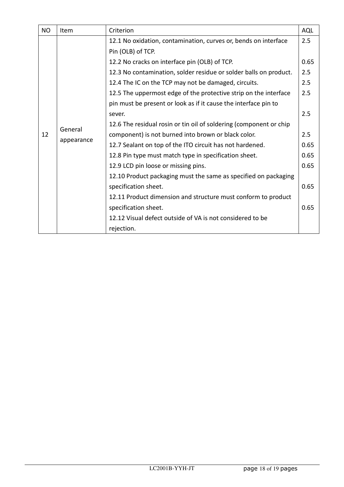| <b>NO</b> | Item                  | Criterion                                                          | <b>AQL</b> |
|-----------|-----------------------|--------------------------------------------------------------------|------------|
|           |                       | 12.1 No oxidation, contamination, curves or, bends on interface    | 2.5        |
|           | General<br>appearance | Pin (OLB) of TCP.                                                  |            |
|           |                       | 12.2 No cracks on interface pin (OLB) of TCP.                      | 0.65       |
|           |                       | 12.3 No contamination, solder residue or solder balls on product.  | 2.5        |
|           |                       | 12.4 The IC on the TCP may not be damaged, circuits.               | 2.5        |
|           |                       | 12.5 The uppermost edge of the protective strip on the interface   | 2.5        |
|           |                       | pin must be present or look as if it cause the interface pin to    |            |
|           |                       | sever.                                                             | 2.5        |
|           |                       | 12.6 The residual rosin or tin oil of soldering (component or chip |            |
| 12        |                       | component) is not burned into brown or black color.                | 2.5        |
|           |                       | 12.7 Sealant on top of the ITO circuit has not hardened.           | 0.65       |
|           |                       | 12.8 Pin type must match type in specification sheet.              | 0.65       |
|           |                       | 12.9 LCD pin loose or missing pins.                                | 0.65       |
|           |                       | 12.10 Product packaging must the same as specified on packaging    |            |
|           |                       | specification sheet.                                               | 0.65       |
|           |                       | 12.11 Product dimension and structure must conform to product      |            |
|           |                       | specification sheet.                                               | 0.65       |
|           |                       | 12.12 Visual defect outside of VA is not considered to be          |            |
|           |                       | rejection.                                                         |            |